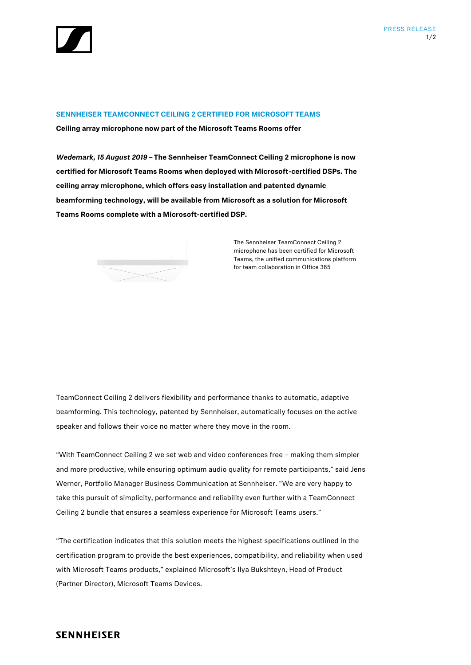

## **SENNHEISER TEAMCONNECT CEILING 2 CERTIFIED FOR MICROSOFT TEAMS**

**Ceiling array microphone now part of the Microsoft Teams Rooms offer**

*Wedemark, 15 August 2019 –* **The Sennheiser TeamConnect Ceiling 2 microphone is now certified for Microsoft Teams Rooms when deployed with Microsoft-certified DSPs. The ceiling array microphone, which offers easy installation and patented dynamic beamforming technology, will be available from Microsoft as a solution for Microsoft Teams Rooms complete with a Microsoft-certified DSP.** 



The Sennheiser TeamConnect Ceiling 2 microphone has been certified for Microsoft Teams, the unified communications platform for team collaboration in Office 365

TeamConnect Ceiling 2 delivers flexibility and performance thanks to automatic, adaptive beamforming. This technology, patented by Sennheiser, automatically focuses on the active speaker and follows their voice no matter where they move in the room.

"With TeamConnect Ceiling 2 we set web and video conferences free – making them simpler and more productive, while ensuring optimum audio quality for remote participants," said Jens Werner, Portfolio Manager Business Communication at Sennheiser. "We are very happy to take this pursuit of simplicity, performance and reliability even further with a TeamConnect Ceiling 2 bundle that ensures a seamless experience for Microsoft Teams users."

"The certification indicates that this solution meets the highest specifications outlined in the certification program to provide the best experiences, compatibility, and reliability when used with Microsoft Teams products," explained Microsoft's Ilya Bukshteyn, Head of Product (Partner Director), Microsoft Teams Devices.

## **SENNHEISER**